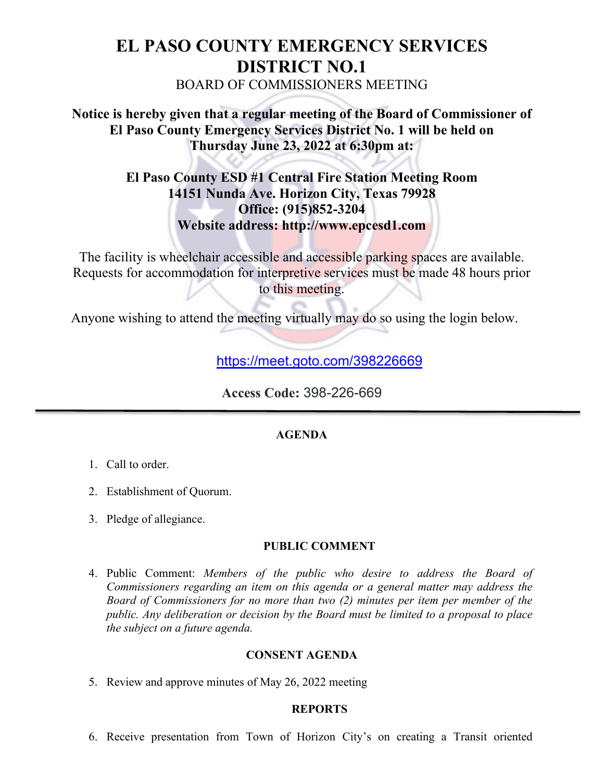# **EL PASO COUNTY EMERGENCY SERVICES DISTRICT NO.1** BOARD OF COMMISSIONERS MEETING

# **Notice is hereby given that a regular meeting of the Board of Commissioner of El Paso County Emergency Services District No. 1 will be held on Thursday June 23, 2022 at 6:30pm at:**

# **El Paso County ESD #1 Central Fire Station Meeting Room 14151 Nunda Ave. Horizon City, Texas 79928 Office: (915)852-3204 Website address: http://www.epcesd1.com**

The facility is wheelchair accessible and accessible parking spaces are available. Requests for accommodation for interpretive services must be made 48 hours prior to this meeting.

Anyone wishing to attend the meeting virtually may do so using the login below.

<https://meet.goto.com/398226669>

**Access Code:** 398-226-669

## **AGENDA**

- 1. Call to order.
- 2. Establishment of Quorum.
- 3. Pledge of allegiance.

## **PUBLIC COMMENT**

4. Public Comment: *Members of the public who desire to address the Board of Commissioners regarding an item on this agenda or a general matter may address the Board of Commissioners for no more than two (2) minutes per item per member of the public. Any deliberation or decision by the Board must be limited to a proposal to place the subject on a future agenda.*

## **CONSENT AGENDA**

5. Review and approve minutes of May 26, 2022 meeting

## **REPORTS**

6. Receive presentation from Town of Horizon City's on creating a Transit oriented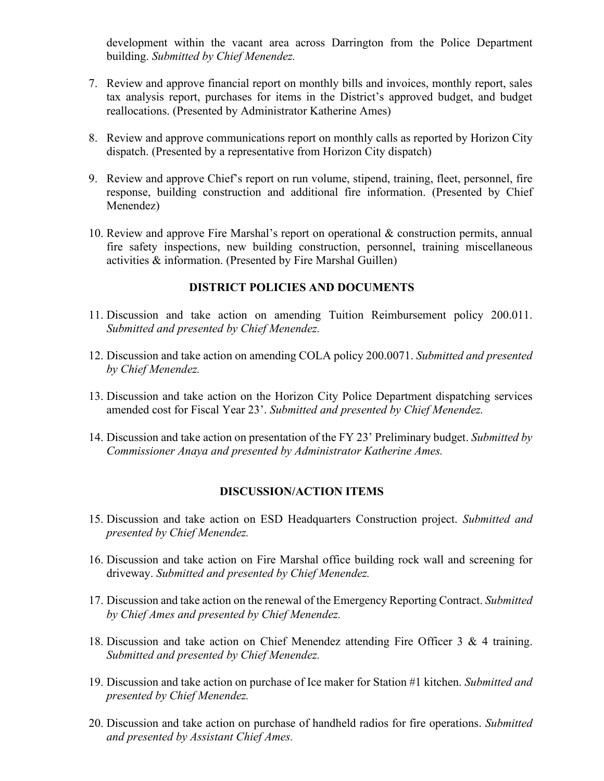development within the vacant area across Darrington from the Police Department building. *Submitted by Chief Menendez.*

- 7. Review and approve financial report on monthly bills and invoices, monthly report, sales tax analysis report, purchases for items in the District's approved budget, and budget reallocations. (Presented by Administrator Katherine Ames)
- 8. Review and approve communications report on monthly calls as reported by Horizon City dispatch. (Presented by a representative from Horizon City dispatch)
- 9. Review and approve Chief's report on run volume, stipend, training, fleet, personnel, fire response, building construction and additional fire information. (Presented by Chief Menendez)
- 10. Review and approve Fire Marshal's report on operational & construction permits, annual fire safety inspections, new building construction, personnel, training miscellaneous activities & information. (Presented by Fire Marshal Guillen)

#### **DISTRICT POLICIES AND DOCUMENTS**

- 11. Discussion and take action on amending Tuition Reimbursement policy 200.011. *Submitted and presented by Chief Menendez.*
- 12. Discussion and take action on amending COLA policy 200.0071. *Submitted and presented by Chief Menendez.*
- 13. Discussion and take action on the Horizon City Police Department dispatching services amended cost for Fiscal Year 23'. *Submitted and presented by Chief Menendez.*
- 14. Discussion and take action on presentation of the FY 23' Preliminary budget. *Submitted by Commissioner Anaya and presented by Administrator Katherine Ames.*

#### **DISCUSSION/ACTION ITEMS**

- 15. Discussion and take action on ESD Headquarters Construction project. *Submitted and presented by Chief Menendez.*
- 16. Discussion and take action on Fire Marshal office building rock wall and screening for driveway. *Submitted and presented by Chief Menendez.*
- 17. Discussion and take action on the renewal of the Emergency Reporting Contract. *Submitted by Chief Ames and presented by Chief Menendez.*
- 18. Discussion and take action on Chief Menendez attending Fire Officer 3 & 4 training. *Submitted and presented by Chief Menendez.*
- 19. Discussion and take action on purchase of Ice maker for Station #1 kitchen. *Submitted and presented by Chief Menendez.*
- 20. Discussion and take action on purchase of handheld radios for fire operations. *Submitted and presented by Assistant Chief Ames.*